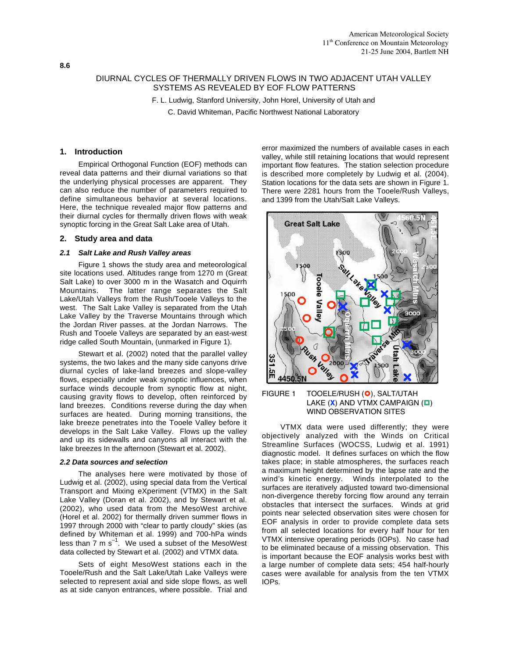# DIURNAL CYCLES OF THERMALLY DRIVEN FLOWS IN TWO ADJACENT UTAH VALLEY SYSTEMS AS REVEALED BY EOF FLOW PATTERNS

F. L. Ludwig, Stanford University, John Horel, University of Utah and

C. David Whiteman, Pacific Northwest National Laboratory

# **1. Introduction**

Empirical Orthogonal Function (EOF) methods can reveal data patterns and their diurnal variations so that the underlying physical processes are apparent. They can also reduce the number of parameters required to define simultaneous behavior at several locations. Here, the technique revealed major flow patterns and their diurnal cycles for thermally driven flows with weak synoptic forcing in the Great Salt Lake area of Utah.

# **2. Study area and data**

### *2.1 Salt Lake and Rush Valley areas*

Figure 1 shows the study area and meteorological site locations used. Altitudes range from 1270 m (Great Salt Lake) to over 3000 m in the Wasatch and Oquirrh Mountains. The latter range separates the Salt Lake/Utah Valleys from the Rush/Tooele Valleys to the west. The Salt Lake Valley is separated from the Utah Lake Valley by the Traverse Mountains through which the Jordan River passes. at the Jordan Narrows. The Rush and Tooele Valleys are separated by an east-west ridge called South Mountain, (unmarked in Figure 1).

Stewart et al. (2002) noted that the parallel valley systems, the two lakes and the many side canyons drive diurnal cycles of lake-land breezes and slope-valley flows, especially under weak synoptic influences, when surface winds decouple from synoptic flow at night, causing gravity flows to develop, often reinforced by land breezes. Conditions reverse during the day when surfaces are heated. During morning transitions, the lake breeze penetrates into the Tooele Valley before it develops in the Salt Lake Valley. Flows up the valley and up its sidewalls and canyons all interact with the lake breezes In the afternoon (Stewart et al. 2002).

#### *2.2 Data sources and selection*

The analyses here were motivated by those of Ludwig et al. (2002), using special data from the Vertical Transport and Mixing eXperiment (VTMX) in the Salt Lake Valley (Doran et al. 2002), and by Stewart et al. (2002), who used data from the MesoWest archive (Horel et al. 2002) for thermally driven summer flows in 1997 through 2000 with "clear to partly cloudy" skies (as defined by Whiteman et al. 1999) and 700-hPa winds less than  $7 \text{ m s}^{-1}$ . We used a subset of the MesoWest data collected by Stewart et al. (2002) and VTMX data.

Sets of eight MesoWest stations each in the Tooele/Rush and the Salt Lake/Utah Lake Valleys were selected to represent axial and side slope flows, as well as at side canyon entrances, where possible. Trial and error maximized the numbers of available cases in each valley, while still retaining locations that would represent important flow features. The station selection procedure is described more completely by Ludwig et al. (2004). Station locations for the data sets are shown in Figure 1. There were 2281 hours from the Tooele/Rush Valleys, and 1399 from the Utah/Salt Lake Valleys.



# FIGURE 1 TOOELE/RUSH (O), SALT/UTAH LAKE (X) AND VTMX CAMPAIGN (**O**) WIND OBSERVATION SITES

VTMX data were used differently; they were objectively analyzed with the Winds on Critical Streamline Surfaces (WOCSS, Ludwig et al. 1991) diagnostic model. It defines surfaces on which the flow takes place; in stable atmospheres, the surfaces reach a maximum height determined by the lapse rate and the wind's kinetic energy. Winds interpolated to the surfaces are iteratively adjusted toward two-dimensional non-divergence thereby forcing flow around any terrain obstacles that intersect the surfaces. Winds at grid points near selected observation sites were chosen for EOF analysis in order to provide complete data sets from all selected locations for every half hour for ten VTMX intensive operating periods (IOPs). No case had to be eliminated because of a missing observation. This is important because the EOF analysis works best with a large number of complete data sets; 454 half-hourly cases were available for analysis from the ten VTMX IOPs.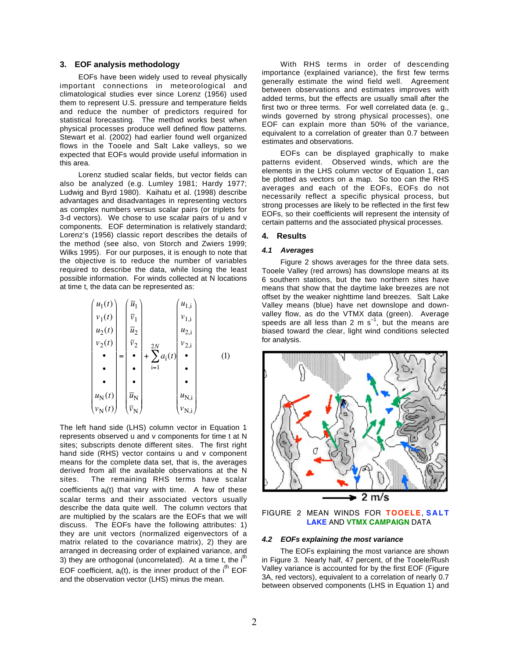# **3. EOF analysis methodology**

EOFs have been widely used to reveal physically important connections in meteorological and climatological studies ever since Lorenz (1956) used them to represent U.S. pressure and temperature fields and reduce the number of predictors required for statistical forecasting. The method works best when physical processes produce well defined flow patterns. Stewart et al. (2002) had earlier found well organized flows in the Tooele and Salt Lake valleys, so we expected that EOFs would provide useful information in this area.

Lorenz studied scalar fields, but vector fields can also be analyzed (e.g. Lumley 1981; Hardy 1977; Ludwig and Byrd 1980). Kaihatu et al. (1998) describe advantages and disadvantages in representing vectors as complex numbers versus scalar pairs (or triplets for 3-d vectors). We chose to use scalar pairs of u and v components. EOF determination is relatively standard; Lorenz's (1956) classic report describes the details of the method (see also, von Storch and Zwiers 1999; Wilks 1995). For our purposes, it is enough to note that the objective is to reduce the number of variables required to describe the data, while losing the least possible information. For winds collected at N locations at time t, the data can be represented as:

*u*1(*t*) *v*1(*t*) *u*2(*t*) *v*2(*t*) • • • *u*<sup>N</sup> (*t*) *v*<sup>N</sup> (*t*) - = *u* 1 *v* 1 *u* 2 *v* 2 • • • *u* N *v* N - + *a*i(*t*) *u*1,i *v*1,i *u*2,i *v*2,i • • • *u*N,i *v*N,i - i=1 2*N* (1)

The left hand side (LHS) column vector in Equation 1 represents observed u and v components for time t at N sites; subscripts denote different sites. The first right hand side (RHS) vector contains u and v component means for the complete data set, that is, the averages derived from all the available observations at the N sites. The remaining RHS terms have scalar coefficients  $a_i(t)$  that vary with time. A few of these scalar terms and their associated vectors usually describe the data quite well. The column vectors that are multiplied by the scalars are the EOFs that we will discuss. The EOFs have the following attributes: 1) they are unit vectors (normalized eigenvectors of a matrix related to the covariance matrix), 2) they are arranged in decreasing order of explained variance, and 3) they are orthogonal (uncorrelated). At a time t, the  $i<sup>th</sup>$ EOF coefficient,  $a_i(t)$ , is the inner product of the  $i<sup>th</sup>$  EOF and the observation vector (LHS) minus the mean.

With RHS terms in order of descending importance (explained variance), the first few terms generally estimate the wind field well. Agreement between observations and estimates improves with added terms, but the effects are usually small after the first two or three terms. For well correlated data (e. g., winds governed by strong physical processes), one EOF can explain more than 50% of the variance, equivalent to a correlation of greater than 0.7 between estimates and observations.

EOFs can be displayed graphically to make patterns evident. Observed winds, which are the elements in the LHS column vector of Equation 1, can be plotted as vectors on a map. So too can the RHS averages and each of the EOFs, EOFs do not necessarily reflect a specific physical process, but strong processes are likely to be reflected in the first few EOFs, so their coefficients will represent the intensity of certain patterns and the associated physical processes.

#### **4. Results**

### *4.1 Averages*

Figure 2 shows averages for the three data sets. Tooele Valley (red arrows) has downslope means at its 6 southern stations, but the two northern sites have means that show that the daytime lake breezes are not offset by the weaker nighttime land breezes. Salt Lake Valley means (blue) have net downslope and downvalley flow, as do the VTMX data (green). Average speeds are all less than 2 m  $s^{-1}$ , but the means are biased toward the clear, light wind conditions selected for analysis.



FIGURE 2 MEAN WINDS FOR **TOOELE**, **SALT LAKE** AND **VTMX CAMPAIGN** DATA

#### *4.2 EOFs explaining the most variance*

The EOFs explaining the most variance are shown in Figure 3. Nearly half, 47 percent, of the Tooele/Rush Valley variance is accounted for by the first EOF (Figure) 3A, red vectors), equivalent to a correlation of nearly 0.7 between observed components (LHS in Equation 1) and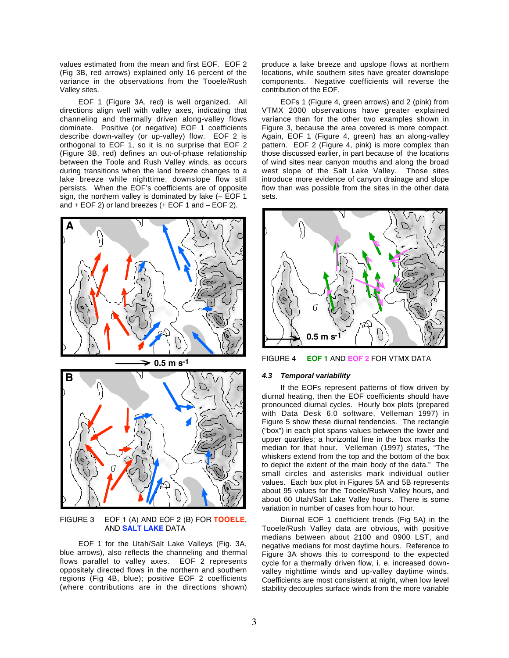values estimated from the mean and first EOF. EOF 2 (Fig 3B, red arrows) explained only 16 percent of the variance in the observations from the Tooele/Rush Valley sites.

EOF 1 (Figure 3A, red) is well organized. All directions align well with valley axes, indicating that channeling and thermally driven along-valley flows dominate. Positive (or negative) EOF 1 coefficients describe down-valley (or up-valley) flow. EOF 2 is orthogonal to EOF 1, so it is no surprise that EOF 2 (Figure 3B, red) defines an out-of-phase relationship between the Toole and Rush Valley winds, as occurs during transitions when the land breeze changes to a lake breeze while nighttime, downslope flow still persists. When the EOF's coefficients are of opposite sign, the northern valley is dominated by lake (– EOF 1 and + EOF 2) or land breezes (+ EOF 1 and – EOF 2).



FIGURE 3 EOF 1 (A) AND EOF 2 (B) FOR **TOOELE**, AND **SALT LAKE** DATA

EOF 1 for the Utah/Salt Lake Valleys (Fig. 3A, blue arrows), also reflects the channeling and thermal flows parallel to valley axes. EOF 2 represents oppositely directed flows in the northern and southern regions (Fig 4B, blue); positive EOF 2 coefficients (where contributions are in the directions shown)

produce a lake breeze and upslope flows at northern locations, while southern sites have greater downslope components. Negative coefficients will reverse the contribution of the EOF.

EOFs 1 (Figure 4, green arrows) and 2 (pink) from VTMX 2000 observations have greater explained variance than for the other two examples shown in Figure 3, because the area covered is more compact. Again, EOF 1 (Figure 4, green) has an along-valley pattern. EOF 2 (Figure 4, pink) is more complex than those discussed earlier, in part because of the locations of wind sites near canyon mouths and along the broad west slope of the Salt Lake Valley. Those sites introduce more evidence of canyon drainage and slope flow than was possible from the sites in the other data sets.



FIGURE 4 **EOF 1** AND **EOF 2** FOR VTMX DATA

# *4.3 Temporal variability*

If the EOFs represent patterns of flow driven by diurnal heating, then the EOF coefficients should have pronounced diurnal cycles. Hourly box plots (prepared with Data Desk 6.0 software, Velleman 1997) in Figure 5 show these diurnal tendencies. The rectangle ("box") in each plot spans values between the lower and upper quartiles; a horizontal line in the box marks the median for that hour. Velleman (1997) states, "The whiskers extend from the top and the bottom of the box to depict the extent of the main body of the data." The small circles and asterisks mark individual outlier values. Each box plot in Figures 5A and 5B represents about 95 values for the Tooele/Rush Valley hours, and about 60 Utah/Salt Lake Valley hours. There is some variation in number of cases from hour to hour.

Diurnal EOF 1 coefficient trends (Fig 5A) in the Tooele/Rush Valley data are obvious, with positive medians between about 2100 and 0900 LST, and negative medians for most daytime hours. Reference to Figure 3A shows this to correspond to the expected cycle for a thermally driven flow, i. e. increased downvalley nighttime winds and up-valley daytime winds. Coefficients are most consistent at night, when low level stability decouples surface winds from the more variable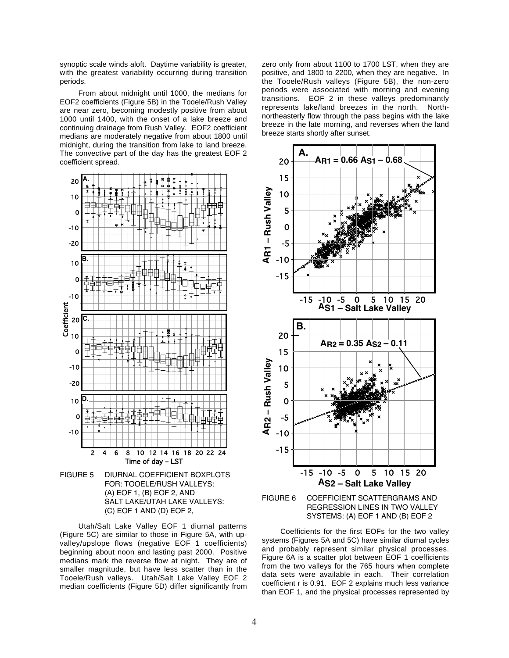synoptic scale winds aloft. Daytime variability is greater, with the greatest variability occurring during transition periods.

From about midnight until 1000, the medians for EOF2 coefficients (Figure 5B) in the Tooele/Rush Valley are near zero, becoming modestly positive from about 1000 until 1400, with the onset of a lake breeze and continuing drainage from Rush Valley. EOF2 coefficient medians are moderately negative from about 1800 until midnight, during the transition from lake to land breeze. The convective part of the day has the greatest EOF 2 coefficient spread.



FOR: TOOELE/RUSH VALLEYS: (A) EOF 1, (B) EOF 2, AND SALT LAKE/UTAH LAKE VALLEYS: (C) EOF 1 AND (D) EOF 2,

Utah/Salt Lake Valley EOF 1 diurnal patterns (Figure 5C) are similar to those in Figure 5A, with upvalley/upslope flows (negative EOF 1 coefficients) beginning about noon and lasting past 2000. Positive medians mark the reverse flow at night. They are of smaller magnitude, but have less scatter than in the Tooele/Rush valleys. Utah/Salt Lake Valley EOF 2 median coefficients (Figure 5D) differ significantly from zero only from about 1100 to 1700 LST, when they are positive, and 1800 to 2200, when they are negative. In the Tooele/Rush valleys (Figure 5B), the non-zero periods were associated with morning and evening transitions. EOF 2 in these valleys predominantly represents lake/land breezes in the north. Northnortheasterly flow through the pass begins with the lake breeze in the late morning, and reverses when the land breeze starts shortly after sunset.



Coefficients for the first EOFs for the two valley systems (Figures 5A and 5C) have similar diurnal cycles and probably represent similar physical processes. Figure 6A is a scatter plot between EOF 1 coefficients from the two valleys for the 765 hours when complete data sets were available in each. Their correlation coefficient r is 0.91. EOF 2 explains much less variance than EOF 1, and the physical processes represented by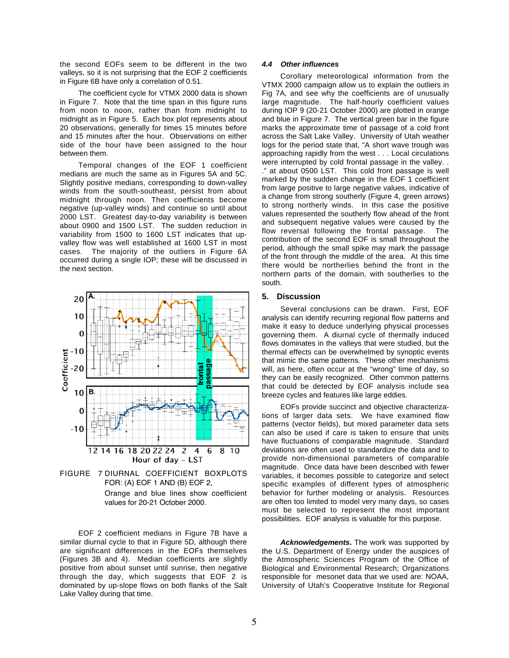the second EOFs seem to be different in the two valleys, so it is not surprising that the EOF 2 coefficients in Figure 6B have only a correlation of 0.51.

The coefficient cycle for VTMX 2000 data is shown in Figure 7. Note that the time span in this figure runs from noon to noon, rather than from midnight to midnight as in Figure 5. Each box plot represents about 20 observations, generally for times 15 minutes before and 15 minutes after the hour. Observations on either side of the hour have been assigned to the hour between them.

Temporal changes of the EOF 1 coefficient medians are much the same as in Figures 5A and 5C. Slightly positive medians, corresponding to down-valley winds from the south-southeast, persist from about midnight through noon. Then coefficients become negative (up-valley winds) and continue so until about 2000 LST. Greatest day-to-day variability is between about 0900 and 1500 LST. The sudden reduction in variability from 1500 to 1600 LST indicates that upvalley flow was well established at 1600 LST in most cases. The majority of the outliers in Figure 6A occurred during a single IOP; these will be discussed in the next section.



FIGURE 7 DIURNAL COEFFICIENT BOXPLOTS FOR: (A) EOF 1 AND (B) EOF 2, Orange and blue lines show coefficient values for 20-21 October 2000.

EOF 2 coefficient medians in Figure 7B have a similar diurnal cycle to that in Figure 5D, although there are significant differences in the EOFs themselves (Figures 3B and 4). Median coefficients are slightly positive from about sunset until sunrise, then negative through the day, which suggests that EOF 2 is dominated by up-slope flows on both flanks of the Salt Lake Valley during that time.

### *4.4 Other influences*

Corollary meteorological information from the VTMX 2000 campaign allow us to explain the outliers in Fig 7A, and see why the coefficients are of unusually large magnitude. The half-hourly coefficient values during IOP 9 (20-21 October 2000) are plotted in orange and blue in Figure 7. The vertical green bar in the figure marks the approximate time of passage of a cold front across the Salt Lake Valley. University of Utah weather logs for the period state that, "A short wave trough was approaching rapidly from the west . . . Local circulations were interrupted by cold frontal passage in the valley. . ." at about 0500 LST. This cold front passage is well marked by the sudden change in the EOF 1 coefficient from large positive to large negative values, indicative of a change from strong southerly (Figure 4, green arrows) to strong northerly winds. In this case the positive values represented the southerly flow ahead of the front and subsequent negative values were caused by the flow reversal following the frontal passage. The contribution of the second EOF is small throughout the period, although the small spike may mark the passage of the front through the middle of the area. At this time there would be northerlies behind the front in the northern parts of the domain, with southerlies to the south.

### **5. Discussion**

Several conclusions can be drawn. First, EOF analysis can identify recurring regional flow patterns and make it easy to deduce underlying physical processes governing them. A diurnal cycle of thermally induced flows dominates in the valleys that were studied, but the thermal effects can be overwhelmed by synoptic events that mimic the same patterns. These other mechanisms will, as here, often occur at the "wrong" time of day, so they can be easily recognized. Other common patterns that could be detected by EOF analysis include sea breeze cycles and features like large eddies.

EOFs provide succinct and objective characterizations of larger data sets. We have examined flow patterns (vector fields), but mixed parameter data sets can also be used if care is taken to ensure that units have fluctuations of comparable magnitude. Standard deviations are often used to standardize the data and to provide non-dimensional parameters of comparable magnitude. Once data have been described with fewer variables, it becomes possible to categorize and select specific examples of different types of atmospheric behavior for further modeling or analysis. Resources are often too limited to model very many days, so cases must be selected to represent the most important possibilities. EOF analysis is valuable for this purpose.

*Acknowledgements***.** The work was supported by the U.S. Department of Energy under the auspices of the Atmospheric Sciences Program of the Office of Biological and Environmental Research; Organizations responsible for mesonet data that we used are: NOAA, University of Utah's Cooperative Institute for Regional